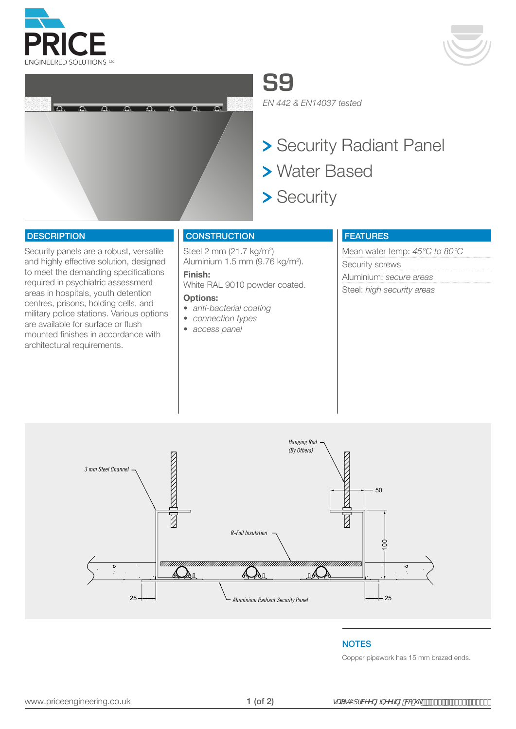





**S9**

*EN 442 & EN14037 tested*

- > Security Radiant Panel
- Water Based
- > Security

#### **DESCRIPTION**

Security panels are a robust, versatile and highly effective solution, designed to meet the demanding specifications required in psychiatric assessment areas in hospitals, youth detention centres, prisons, holding cells, and military police stations. Various options are available for surface or flush mounted finishes in accordance with architectural requirements.

## **CONSTRUCTION**

Steel 2 mm (21.7 kg/m<sup>2</sup>) Aluminium 1.5 mm (9.76 kg/m<sup>2</sup>).

#### **Finish:**  White RAL 9010 powder coated.

#### **Options:**

- *• anti-bacterial coating*
- *• connection types*
- *• access panel*

## FEATURES

Mean water temp: *45°C to 80°C* Security screws Aluminium: *secure areas* Steel: *high security areas*



#### **NOTES**

Copper pipework has 15 mm brazed ends.